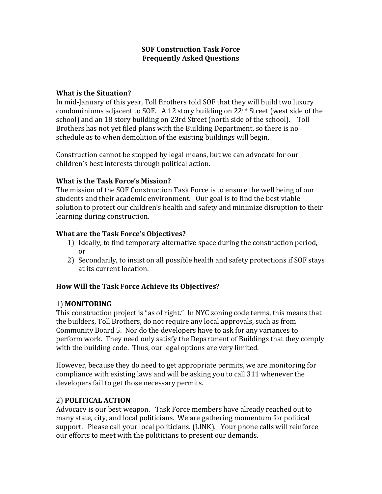# **SOF Construction Task Force Frequently Asked Questions**

### **What is the Situation?**

In mid-January of this year, Toll Brothers told SOF that they will build two luxury condominiums adjacent to SOF. A 12 story building on  $22<sup>nd</sup>$  Street (west side of the school) and an 18 story building on 23rd Street (north side of the school). Toll Brothers has not yet filed plans with the Building Department, so there is no schedule as to when demolition of the existing buildings will begin.

Construction cannot be stopped by legal means, but we can advocate for our children's best interests through political action.

# **What is the Task Force's Mission?**

The mission of the SOF Construction Task Force is to ensure the well being of our students and their academic environment. Our goal is to find the best viable solution to protect our children's health and safety and minimize disruption to their learning during construction.

# **What are the Task Force's Objectives?**

- 1) Ideally, to find temporary alternative space during the construction period, or
- 2) Secondarily, to insist on all possible health and safety protections if SOF stays at its current location.

# **How Will the Task Force Achieve its Objectives?**

### 1) **MONITORING**

This construction project is "as of right." In NYC zoning code terms, this means that the builders, Toll Brothers, do not require any local approvals, such as from Community Board 5. Nor do the developers have to ask for any variances to perform work. They need only satisfy the Department of Buildings that they comply with the building code. Thus, our legal options are very limited.

However, because they do need to get appropriate permits, we are monitoring for compliance with existing laws and will be asking you to call 311 whenever the developers fail to get those necessary permits.

# 2) **POLITICAL ACTION**

Advocacy is our best weapon. Task Force members have already reached out to many state, city, and local politicians. We are gathering momentum for political support. Please call your local politicians. (LINK). Your phone calls will reinforce our efforts to meet with the politicians to present our demands.